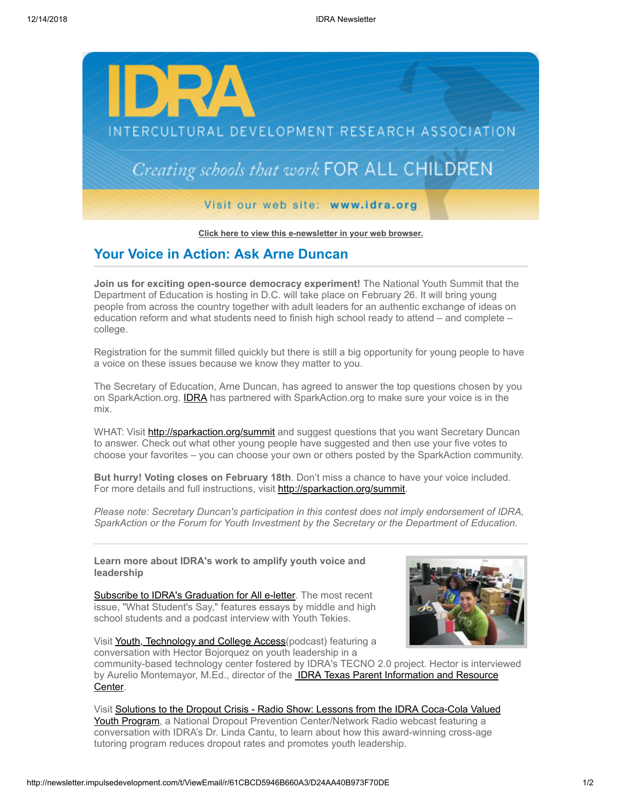

**[Click here to view this e-newsletter in your web browser.](http://newsletter.impulsedevelopment.com/t/r/e/yhujjyd/uyyhtlr/)**

## **Your Voice in Action: Ask Arne Duncan**

**Join us for exciting open-source democracy experiment!** The National Youth Summit that the Department of Education is hosting in D.C. will take place on February 26. It will bring young people from across the country together with adult leaders for an authentic exchange of ideas on education reform and what students need to finish high school ready to attend – and complete – college.

Registration for the summit filled quickly but there is still a big opportunity for young people to have a voice on these issues because we know they matter to you.

The Secretary of Education, Arne Duncan, has agreed to answer the top questions chosen by you on SparkAction.org. **IDRA** has partnered with SparkAction.org to make sure your voice is in the mix.

WHAT: Visit [http://sparkaction.org/summit](http://newsletter.impulsedevelopment.com/t/r/l/yhujjyd/uyyhtlr/j) and suggest questions that you want Secretary Duncan to answer. Check out what other young people have suggested and then use your five votes to choose your favorites – you can choose your own or others posted by the SparkAction community.

**But hurry! Voting closes on February 18th**. Don't miss a chance to have your voice included. For more details and full instructions, visit [http://sparkaction.org/summit.](http://newsletter.impulsedevelopment.com/t/r/l/yhujjyd/uyyhtlr/t)

*Please note: Secretary Duncan's participation in this contest does not imply endorsement of IDRA, SparkAction or the Forum for Youth Investment by the Secretary or the Department of Education.*

**Learn more about IDRA's work to amplify youth voice and leadership**

[Subscribe to IDRA's Graduation for All e-letter.](http://newsletter.impulsedevelopment.com/t/r/l/yhujjyd/uyyhtlr/i) The most recent issue, "What Student's Say," features essays by middle and high school students and a podcast interview with Youth Tekies.





community-based technology center fostered by IDRA's TECNO 2.0 project. Hector is interviewed by Aurelio Montemayor, M.Ed., director of the **IDRA Texas Parent Information and Resource** Center.

[Visit Solutions to the Dropout Crisis - Radio Show: Lessons from the IDRA Coca-Cola Valued](http://newsletter.impulsedevelopment.com/t/r/l/yhujjyd/uyyhtlr/k) Youth Program, a National Dropout Prevention Center/Network Radio webcast featuring a conversation with IDRA's Dr. Linda Cantu, to learn about how this award-winning cross-age tutoring program reduces dropout rates and promotes youth leadership.